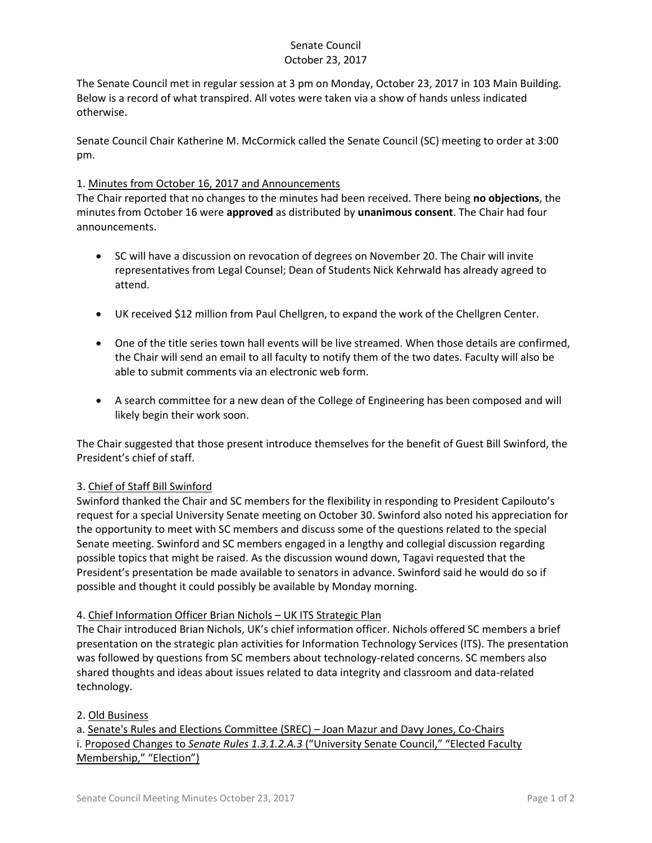# Senate Council October 23, 2017

The Senate Council met in regular session at 3 pm on Monday, October 23, 2017 in 103 Main Building. Below is a record of what transpired. All votes were taken via a show of hands unless indicated otherwise.

Senate Council Chair Katherine M. McCormick called the Senate Council (SC) meeting to order at 3:00 pm.

## 1. Minutes from October 16, 2017 and Announcements

The Chair reported that no changes to the minutes had been received. There being **no objections**, the minutes from October 16 were **approved** as distributed by **unanimous consent**. The Chair had four announcements.

- SC will have a discussion on revocation of degrees on November 20. The Chair will invite representatives from Legal Counsel; Dean of Students Nick Kehrwald has already agreed to attend.
- UK received \$12 million from Paul Chellgren, to expand the work of the Chellgren Center.
- One of the title series town hall events will be live streamed. When those details are confirmed, the Chair will send an email to all faculty to notify them of the two dates. Faculty will also be able to submit comments via an electronic web form.
- A search committee for a new dean of the College of Engineering has been composed and will likely begin their work soon.

The Chair suggested that those present introduce themselves for the benefit of Guest Bill Swinford, the President's chief of staff.

#### 3. Chief of Staff Bill Swinford

Swinford thanked the Chair and SC members for the flexibility in responding to President Capilouto's request for a special University Senate meeting on October 30. Swinford also noted his appreciation for the opportunity to meet with SC members and discuss some of the questions related to the special Senate meeting. Swinford and SC members engaged in a lengthy and collegial discussion regarding possible topics that might be raised. As the discussion wound down, Tagavi requested that the President's presentation be made available to senators in advance. Swinford said he would do so if possible and thought it could possibly be available by Monday morning.

#### 4. Chief Information Officer Brian Nichols – UK ITS Strategic Plan

The Chair introduced Brian Nichols, UK's chief information officer. Nichols offered SC members a brief presentation on the strategic plan activities for Information Technology Services (ITS). The presentation was followed by questions from SC members about technology-related concerns. SC members also shared thoughts and ideas about issues related to data integrity and classroom and data-related technology.

#### 2. Old Business

a. Senate's Rules and Elections Committee (SREC) – Joan Mazur and Davy Jones, Co-Chairs i. Proposed Changes to *Senate Rules 1.3.1.2.A.3* ("University Senate Council," "Elected Faculty Membership," "Election")